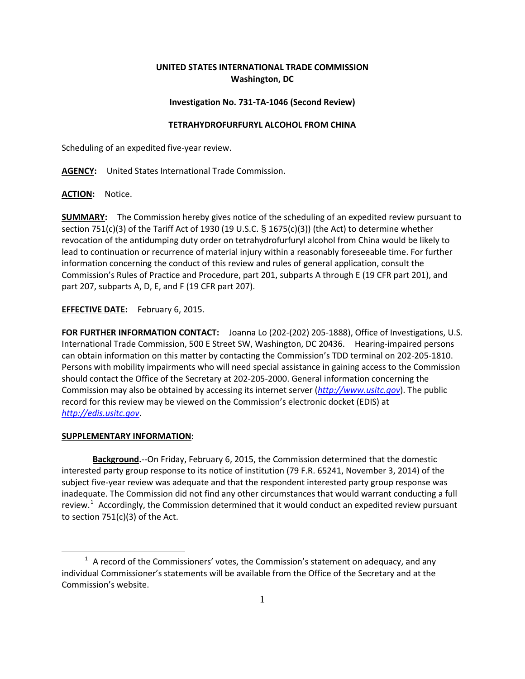# **UNITED STATES INTERNATIONAL TRADE COMMISSION Washington, DC**

## **Investigation No. 731-TA-1046 (Second Review)**

### **TETRAHYDROFURFURYL ALCOHOL FROM CHINA**

Scheduling of an expedited five-year review.

**AGENCY:** United States International Trade Commission.

**ACTION:** Notice.

**SUMMARY:** The Commission hereby gives notice of the scheduling of an expedited review pursuant to section 751(c)(3) of the Tariff Act of 1930 (19 U.S.C. § 1675(c)(3)) (the Act) to determine whether revocation of the antidumping duty order on tetrahydrofurfuryl alcohol from China would be likely to lead to continuation or recurrence of material injury within a reasonably foreseeable time. For further information concerning the conduct of this review and rules of general application, consult the Commission's Rules of Practice and Procedure, part 201, subparts A through E (19 CFR part 201), and part 207, subparts A, D, E, and F (19 CFR part 207).

## **EFFECTIVE DATE:** February 6, 2015.

**FOR FURTHER INFORMATION CONTACT:** Joanna Lo (202-(202) 205-1888), Office of Investigations, U.S. International Trade Commission, 500 E Street SW, Washington, DC 20436. Hearing-impaired persons can obtain information on this matter by contacting the Commission's TDD terminal on 202-205-1810. Persons with mobility impairments who will need special assistance in gaining access to the Commission should contact the Office of the Secretary at 202-205-2000. General information concerning the Commission may also be obtained by accessing its internet server (*[http://www.usitc.gov](http://www.usitc.gov/)*). The public record for this review may be viewed on the Commission's electronic docket (EDIS) at *[http://edis.usitc.gov](http://edis.usitc.gov/)*.

#### **SUPPLEMENTARY INFORMATION:**

 $\overline{a}$ 

**Background.**--On Friday, February 6, 2015, the Commission determined that the domestic interested party group response to its notice of institution (79 F.R. 65241, November 3, 2014) of the subject five-year review was adequate and that the respondent interested party group response was inadequate. The Commission did not find any other circumstances that would warrant conducting a full review.<sup>[1](#page-0-0)</sup> Accordingly, the Commission determined that it would conduct an expedited review pursuant to section  $751(c)(3)$  of the Act.

<span id="page-0-0"></span> $1$  A record of the Commissioners' votes, the Commission's statement on adequacy, and any individual Commissioner's statements will be available from the Office of the Secretary and at the Commission's website.